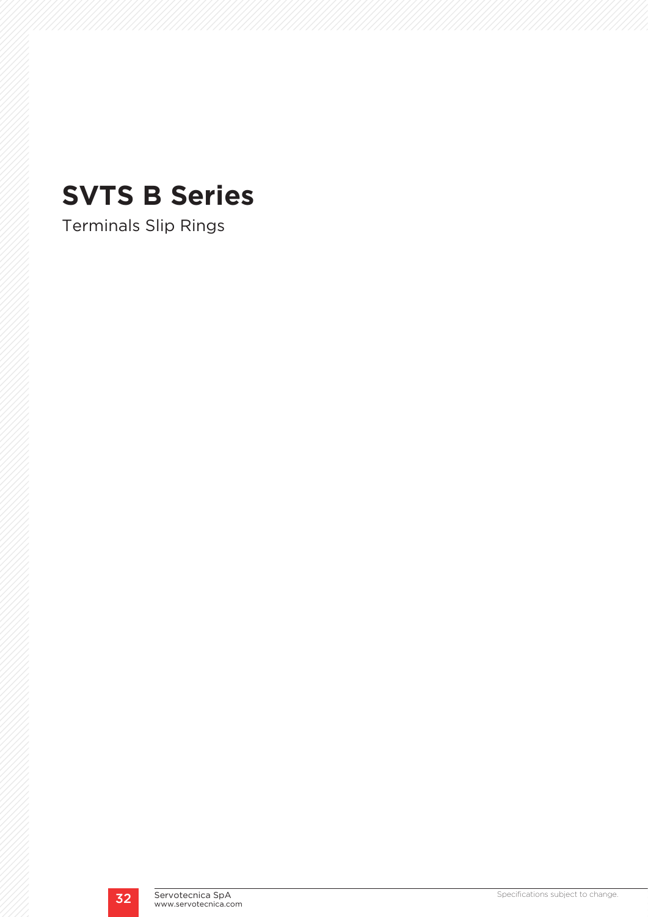# **SVTS B Series**

Terminals Slip Rings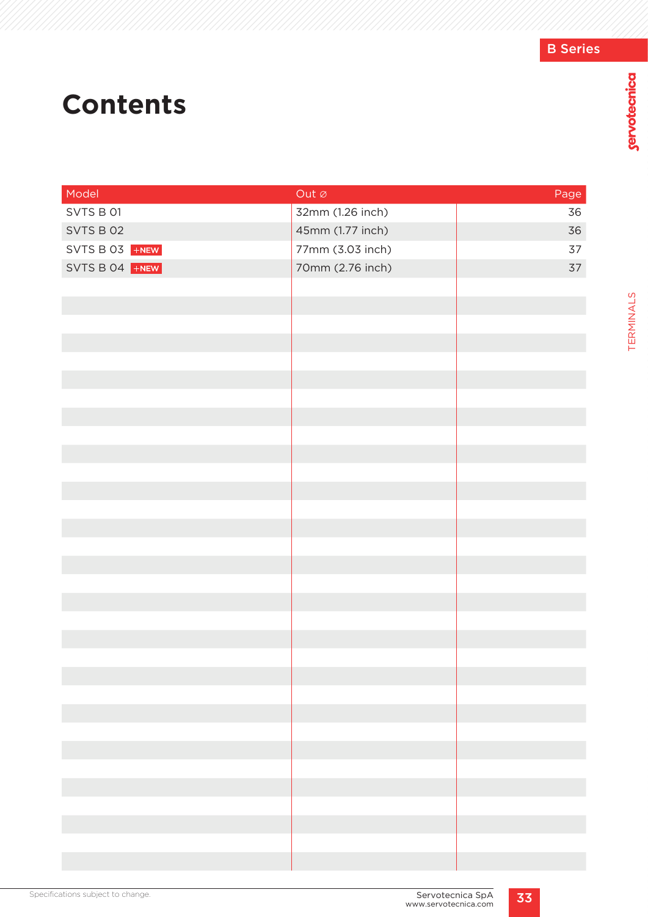# **Contents**

| Model          | Out $\varnothing$ | Page |
|----------------|-------------------|------|
| SVTS B 01      | 32mm (1.26 inch)  | 36   |
| SVTS B 02      | 45mm (1.77 inch)  | 36   |
| SVTS B 03 +NEW | 77mm (3.03 inch)  | 37   |
| SVTS B 04 +NEW | 70mm (2.76 inch)  | 37   |
|                |                   |      |
|                |                   |      |
|                |                   |      |
|                |                   |      |
|                |                   |      |
|                |                   |      |
|                |                   |      |
|                |                   |      |
|                |                   |      |
|                |                   |      |
|                |                   |      |
|                |                   |      |
|                |                   |      |
|                |                   |      |
|                |                   |      |
|                |                   |      |
|                |                   |      |
|                |                   |      |
|                |                   |      |
|                |                   |      |
|                |                   |      |
|                |                   |      |
|                |                   |      |
|                |                   |      |
|                |                   |      |
|                |                   |      |
|                |                   |      |
|                |                   |      |
|                |                   |      |
|                |                   |      |
|                |                   |      |

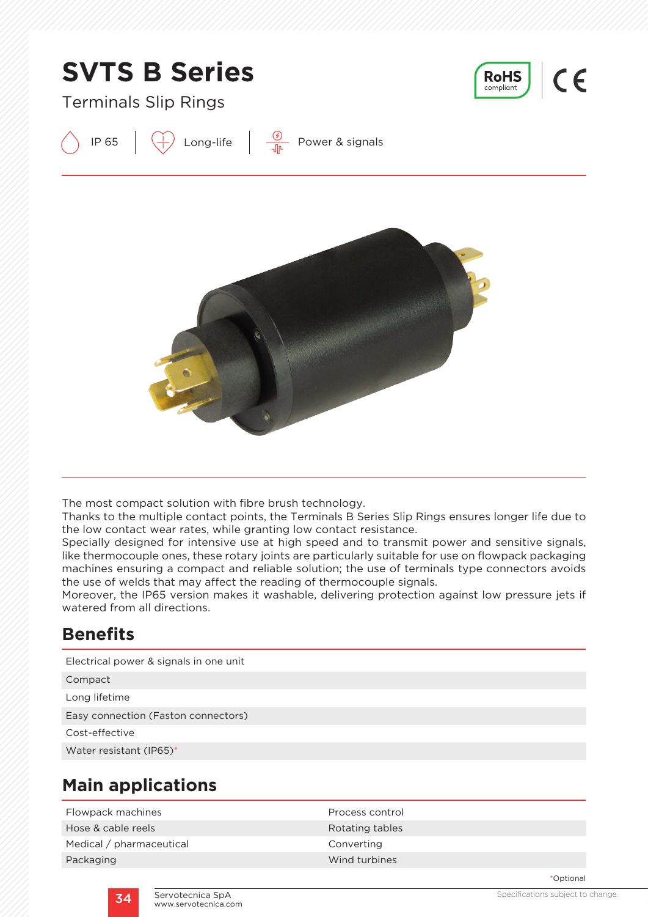

The most compact solution with fibre brush technology.

Thanks to the multiple contact points, the Terminals B Series Slip Rings ensures longer life due to the low contact wear rates, while granting low contact resistance.

Specially designed for intensive use at high speed and to transmit power and sensitive signals, like thermocouple ones, these rotary joints are particularly suitable for use on flowpack packaging machines ensuring a compact and reliable solution; the use of terminals type connectors avoids the use of welds that may affect the reading of thermocouple signals.

Moreover, the IP65 version makes it washable, delivering protection against low pressure jets if watered from all directions.

### **Benefits**

Electrical power & signals in one unit

Compact

Long lifetime

Easy connection (Faston connectors)

Cost-effective

Water resistant (IP65)\*

## **Main applications**

| Process control |
|-----------------|
| Rotating tables |
| Converting      |
| Wind turbines   |
|                 |

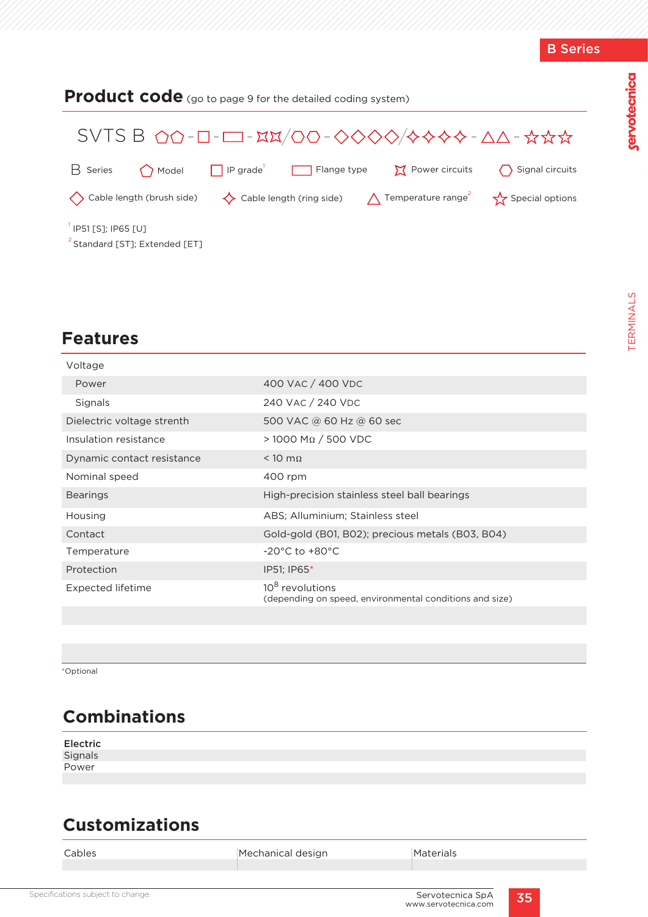| <b>Product code</b> (go to page 9 for the detailed coding system)                                                                                                                                                                              |  |  |  |  |  |  |  |
|------------------------------------------------------------------------------------------------------------------------------------------------------------------------------------------------------------------------------------------------|--|--|--|--|--|--|--|
| $SVTS B$ $\Omega$ $\Omega$ - $\Box$ - $\Xi$ - $\Xi$ - $\Xi$ $\Xi$ / $\Box$ $\Box$ $\Box$ - $\Diamond$ $\Diamond$ $\Diamond$ $\Diamond$ $\Diamond$ $\Diamond$ $\Diamond$ $\Diamond$ + $\Diamond$ $\Diamond$ - $\Delta$ $\Delta$ - $\Box$ $\Box$ |  |  |  |  |  |  |  |
| $\Box$ IP grade<br>Power circuits<br>Signal circuits<br>$H$ Series<br>Flange type<br>$\bigcap$ Model                                                                                                                                           |  |  |  |  |  |  |  |
| $\diamondsuit$ Cable length (ring side) $\bigwedge$ Temperature range <sup>2</sup><br><> Cable length (brush side)<br>Special options                                                                                                          |  |  |  |  |  |  |  |
| IP51 [S]; IP65 [U]<br><sup>2</sup> Standard [ST]; Extended [ET]                                                                                                                                                                                |  |  |  |  |  |  |  |

## **Features**

| Voltage                    |                                                                                        |
|----------------------------|----------------------------------------------------------------------------------------|
| Power                      | 400 VAC / 400 VDC                                                                      |
| Signals                    | 240 VAC / 240 VDC                                                                      |
| Dielectric voltage strenth | 500 VAC @ 60 Hz @ 60 sec                                                               |
| Insulation resistance      | $>$ 1000 ΜΩ / 500 VDC                                                                  |
| Dynamic contact resistance | $< 10$ m $\Omega$                                                                      |
| Nominal speed              | 400 rpm                                                                                |
| <b>Bearings</b>            | High-precision stainless steel ball bearings                                           |
|                            |                                                                                        |
| Housing                    | ABS; Alluminium; Stainless steel                                                       |
| Contact                    | Gold-gold (B01, B02); precious metals (B03, B04)                                       |
| Temperature                | $-20^{\circ}$ C to $+80^{\circ}$ C                                                     |
| Protection                 | IP51; IP65*                                                                            |
| Expected lifetime          | 10 <sup>8</sup> revolutions<br>(depending on speed, environmental conditions and size) |

\*Optional

# **Combinations**

| Electric |  |  |
|----------|--|--|
| Signals  |  |  |
| Power    |  |  |
|          |  |  |

# **Customizations**

| Cables | Mechanical design | Materials |
|--------|-------------------|-----------|
|        |                   |           |
|        |                   |           |

servotecnica

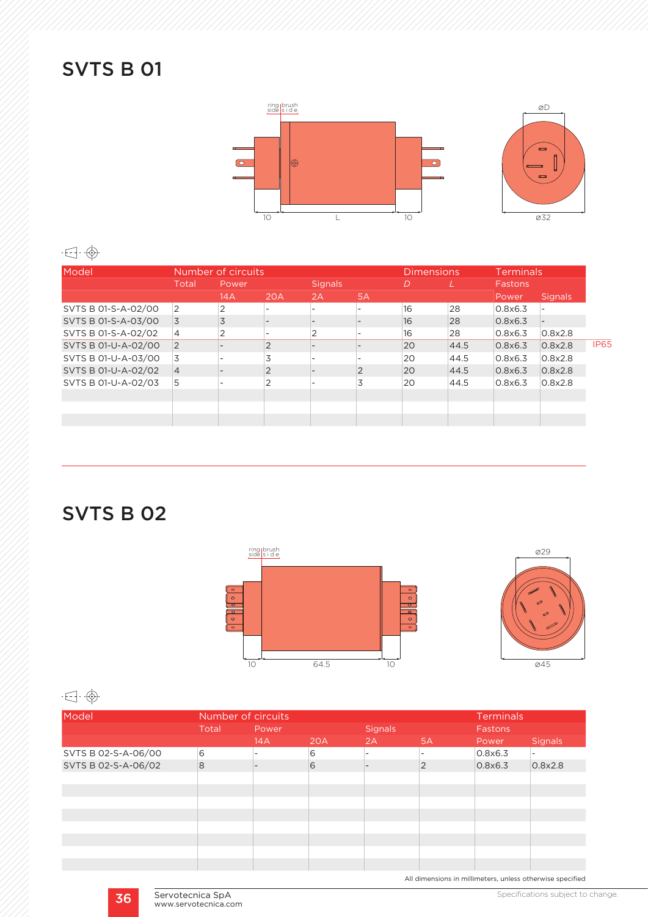# SVTS B 01



### $\begin{picture}(20,20) \put(0,0){\line(1,0){10}} \put(15,0){\line(1,0){10}} \put(15,0){\line(1,0){10}} \put(15,0){\line(1,0){10}} \put(15,0){\line(1,0){10}} \put(15,0){\line(1,0){10}} \put(15,0){\line(1,0){10}} \put(15,0){\line(1,0){10}} \put(15,0){\line(1,0){10}} \put(15,0){\line(1,0){10}} \put(15,0){\line(1,0){10}} \put(15,0){\line(1$

| Model               | Number of circuits |       |            | <b>Dimensions</b>        |                | <b>Terminals</b> |      |         |                |  |
|---------------------|--------------------|-------|------------|--------------------------|----------------|------------------|------|---------|----------------|--|
|                     | Total              | Power |            | <b>Signals</b>           |                | D                |      | Fastons |                |  |
|                     |                    | 14A   | <b>20A</b> | 2A                       | 5A             |                  |      | Power   | <b>Signals</b> |  |
| SVTS B 01-S-A-02/00 | $\overline{2}$     | 2     |            | $\overline{\phantom{0}}$ |                | 16               | 28   | 0.8x6.3 |                |  |
| SVTS B 01-S-A-03/00 | $\overline{3}$     | 3     |            |                          |                | 16               | 28   | 0.8x6.3 |                |  |
| SVTS B 01-S-A-02/02 | $\overline{4}$     | 2     |            | $\overline{2}$           |                | 16               | 28   | 0.8x6.3 | 0.8x2.8        |  |
| SVTS B 01-U-A-02/00 | $\vert$ 2          |       | 2          |                          |                | 20               | 44.5 | 0.8x6.3 | 0.8x2.8        |  |
| SVTS B 01-U-A-03/00 | 3                  |       | 3          |                          |                | 20               | 44.5 | 0.8x6.3 | 0.8x2.8        |  |
| SVTS B 01-U-A-02/02 | $\overline{4}$     |       | 2          |                          | $\overline{2}$ | 20               | 44.5 | 0.8x6.3 | 0.8x2.8        |  |
| SVTS B 01-U-A-02/03 | 5                  |       | ∍          |                          | 3              | 20               | 44.5 | 0.8x6.3 | 0.8x2.8        |  |
|                     |                    |       |            |                          |                |                  |      |         |                |  |
|                     |                    |       |            |                          |                |                  |      |         |                |  |
|                     |                    |       |            |                          |                |                  |      |         |                |  |

SVTS B 02





#### $\cdot \in \cdot \oplus \cdot$

| Model               | Number of circuits |       |     |                |                | <b>Terminals</b> |                |  |
|---------------------|--------------------|-------|-----|----------------|----------------|------------------|----------------|--|
|                     | Total              | Power |     | <b>Signals</b> |                | Fastons          |                |  |
|                     |                    | 14A   | 20A | 2A             | 5A             | Power            | <b>Signals</b> |  |
| SVTS B 02-S-A-06/00 | 6                  |       | 6   |                |                | 0.8x6.3          |                |  |
| SVTS B 02-S-A-06/02 | 8                  |       | 6   |                | $\overline{2}$ | 0.8x6.3          | 0.8x2.8        |  |
|                     |                    |       |     |                |                |                  |                |  |
|                     |                    |       |     |                |                |                  |                |  |
|                     |                    |       |     |                |                |                  |                |  |
|                     |                    |       |     |                |                |                  |                |  |
|                     |                    |       |     |                |                |                  |                |  |
|                     |                    |       |     |                |                |                  |                |  |
|                     |                    |       |     |                |                |                  |                |  |
|                     |                    |       |     |                |                |                  |                |  |

All dimensions in millimeters, unless otherwise specified